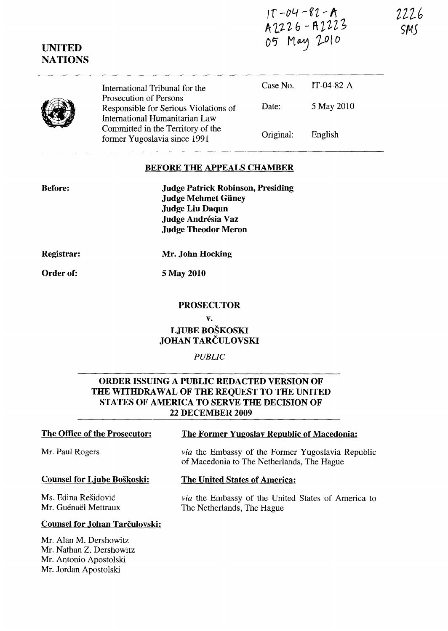$11 - 04 - 82 - R$ A 2226 - A 2223 05 May 2010

| <b>ATIONS</b> |                                                                                                   |           |               |  |
|---------------|---------------------------------------------------------------------------------------------------|-----------|---------------|--|
|               | International Tribunal for the                                                                    | Case No.  | IT-04-82- $A$ |  |
|               | Prosecution of Persons<br>Responsible for Serious Violations of<br>International Humanitarian Law | Date:     | 5 May 2010    |  |
|               | Committed in the Territory of the<br>former Yugoslavia since 1991                                 | Original: | English       |  |

#### **BEFORE THE APPEALS CHAMBER**

**Before:** 

**UNITED** 

**Judge Patrick Robinson, Presiding Judge Mehmet Giiney Judge Liu Daqun Judge Andresia Vaz Judge Theodor Meron** 

**Registrar:** 

**Mr. John Hocking** 

**Order of:** 

5 May **2010** 

#### **PROSECUTOR**

#### v.

# **LJUBE BOSKOSKI JOHAN TARCULOVSKI**

#### *PUBLIC*

### **ORDER ISSUING A PUBLIC REDACTED VERSION OF THE WITHDRAWAL OF THE REQUEST TO THE UNITED STATES OF AMERICA TO SERVE THE DECISION OF 22 DECEMBER 2009**

#### Mr. Paul Rogers

#### **Counsel for Ljube Boskoski:**

**Counsel for Johan Tarčulovski:** 

Ms. Edina Residovic Mr. Guénaël Mettraux

Mr. Alan M. Dershowitz Mr. Nathan Z. Dershowitz Mr. Antonio Apostolski Mr. Jordan Apostolski

### **The Office of the Prosecutor: The Former Yugoslav Republic of Macedonia:**

*via* the Embassy of the Former Yugoslavia Republic of Macedonia to The Netherlands, The Hague

#### **The United States of America:**

*via* the Embassy of the United States of America to The Netherlands, The Hague

*2ll('*  **5145**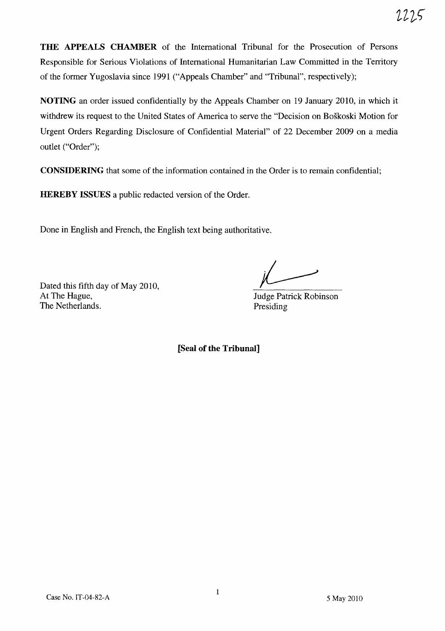**THE APPEALS CHAMBER** of the International Tribunal for the Prosecution of Persons Responsible for Serious Violations of International Humanitarian Law Committed in the Territory of the former Yugoslavia since 1991 ("Appeals Chamber" and "Tribunal", respectively);

**NOTING** an order issued confidentially by the Appeals Chamber on 19 January 2010, in which it withdrew its request to the United States of America to serve the "Decision on Boskoski Motion for Urgent Orders Regarding Disclosure of Confidential Material" of 22 December 2009 on a media outlet ("Order");

**CONSIDERING** that some of the information contained in the Order is to remain confidential;

**HEREBY ISSUES** a public redacted version of the Order.

Done in English and French, the English text being authoritative.

Dated this fifth day of May 2010, At The Hague, The Netherlands.

Judge Patrick Robinson Presiding

**[Seal of the Tribunal]**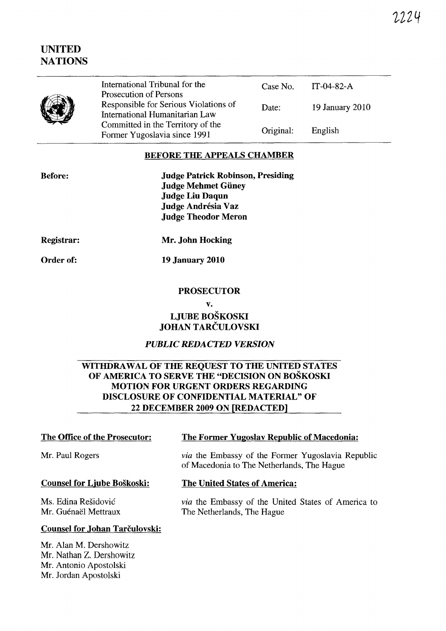# **UNITED NATIONS**

|  | International Tribunal for the<br>Prosecution of Persons                | Case No.  | TT-04-82-A      |
|--|-------------------------------------------------------------------------|-----------|-----------------|
|  | Responsible for Serious Violations of<br>International Humanitarian Law | Date:     | 19 January 2010 |
|  | Committed in the Territory of the<br>Former Yugoslavia since 1991       | Original: | English         |

## **BEFORE THE APPEALS CHAMBER**

| <b>Before:</b> |  |  |
|----------------|--|--|
|                |  |  |
|                |  |  |
|                |  |  |
|                |  |  |

**Judge Patrick Robinson, Presiding Judge Mehmet Giiney Judge Liu Daqun Judge Andrésia Vaz Judge Theodor Meron** 

**Registrar:** 

**Mr. John Hocking** 

**Order of:** 

**19 January 2010** 

#### **PROSECUTOR**

#### **v.**

# **LJUBE BOSKOSKI JOHAN TARCULOVSKI**

# *PUBLIC REDACTED VERSION*

## **WITHDRAWAL OF THE REQUEST TO THE UNITED STATES OF AMERICA TO SERVE THE "DECISION ON BOSKOSKI MOTION FOR URGENT ORDERS REGARDING DISCLOSURE OF CONFIDENTIAL MATERIAL" OF 22 DECEMBER 2009 ON [REDACTED]**

## **The Office of the Prosecutor:**

#### Mr. Paul Rogers

#### **Counsel for Ljube Boskoski:**

Ms. Edina Residovic Mr. Guénaël Mettraux

## **The Former Yugoslav Republic of Macedonia:**

*via* the Embassy of the Former Yugoslavia Republic of Macedonia to The Netherlands, The Hague

#### **The United States of America:**

*via* the Embassy of the United States of America to The Netherlands, The Hague

## **Counsel for Johan Tarculovski:**

Mr. Alan M. Dershowitz Mr. Nathan Z. Dershowitz Mr. Antonio Apostolski Mr. Jordan Apostolski